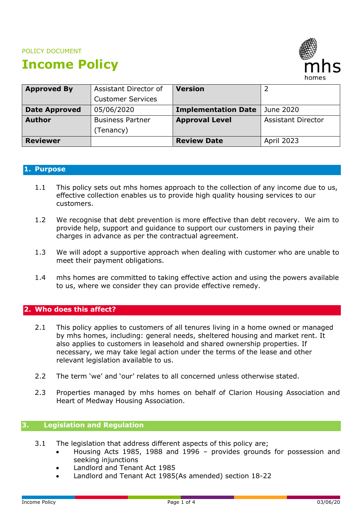#### POLICY DOCUMENT

# **Income Policy**



| <b>Approved By</b>   | Assistant Director of    | <b>Version</b>             |                           |
|----------------------|--------------------------|----------------------------|---------------------------|
|                      | <b>Customer Services</b> |                            |                           |
| <b>Date Approved</b> | 05/06/2020               | <b>Implementation Date</b> | June 2020                 |
| <b>Author</b>        | <b>Business Partner</b>  | <b>Approval Level</b>      | <b>Assistant Director</b> |
|                      | (Tenancy)                |                            |                           |
| <b>Reviewer</b>      |                          | <b>Review Date</b>         | <b>April 2023</b>         |

## **1. Purpose**

- 1.1 This policy sets out mhs homes approach to the collection of any income due to us, effective collection enables us to provide high quality housing services to our customers.
- 1.2 We recognise that debt prevention is more effective than debt recovery. We aim to provide help, support and guidance to support our customers in paying their charges in advance as per the contractual agreement.
- 1.3 We will adopt a supportive approach when dealing with customer who are unable to meet their payment obligations.
- 1.4 mhs homes are committed to taking effective action and using the powers available to us, where we consider they can provide effective remedy.

## **2. Who does this affect?**

- 2.1 This policy applies to customers of all tenures living in a home owned or managed by mhs homes, including: general needs, sheltered housing and market rent. It also applies to customers in leasehold and shared ownership properties. If necessary, we may take legal action under the terms of the lease and other relevant legislation available to us.
- 2.2 The term 'we' and 'our' relates to all concerned unless otherwise stated.
- 2.3 Properties managed by mhs homes on behalf of Clarion Housing Association and Heart of Medway Housing Association.

## **3. Legislation and Regulation**

- 3.1 The legislation that address different aspects of this policy are;
	- Housing Acts 1985, 1988 and 1996 provides grounds for possession and seeking injunctions
	- Landlord and Tenant Act 1985
	- Landlord and Tenant Act 1985(As amended) section 18-22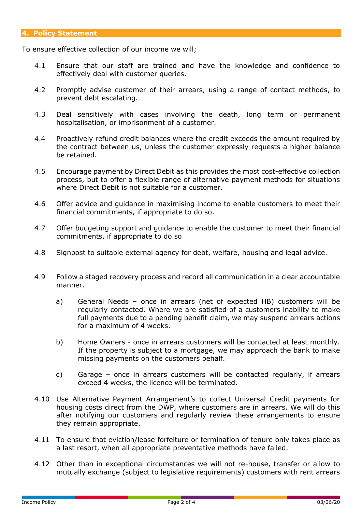To ensure effective collection of our income we will;

- 4.1 Ensure that our staff are trained and have the knowledge and confidence to effectively deal with customer queries.
- 4.2 Promptly advise customer of their arrears, using a range of contact methods, to prevent debt escalating.
- 4.3 Deal sensitively with cases involving the death, long term or permanent hospitalisation, or imprisonment of a customer.
- 4.4 Proactively refund credit balances where the credit exceeds the amount required by the contract between us, unless the customer expressly requests a higher balance be retained.
- 4.5 Encourage payment by Direct Debit as this provides the most cost-effective collection process, but to offer a flexible range of alternative payment methods for situations where Direct Debit is not suitable for a customer.
- 4.6 Offer advice and guidance in maximising income to enable customers to meet their financial commitments, if appropriate to do so.
- 4.7 Offer budgeting support and guidance to enable the customer to meet their financial commitments, if appropriate to do so
- 4.8 Signpost to suitable external agency for debt, welfare, housing and legal advice.
- 4.9 Follow a staged recovery process and record all communication in a clear accountable manner.
	- a) General Needs once in arrears (net of expected HB) customers will be regularly contacted. Where we are satisfied of a customers inability to make full payments due to a pending benefit claim, we may suspend arrears actions for a maximum of 4 weeks.
	- b) Home Owners once in arrears customers will be contacted at least monthly. If the property is subject to a mortgage, we may approach the bank to make missing payments on the customers behalf.
	- c) Garage once in arrears customers will be contacted regularly, if arrears exceed 4 weeks, the licence will be terminated.
- 4.10 Use Alternative Payment Arrangement's to collect Universal Credit payments for housing costs direct from the DWP, where customers are in arrears. We will do this after notifying our customers and regularly review these arrangements to ensure they remain appropriate.
- 4.11 To ensure that eviction/lease forfeiture or termination of tenure only takes place as a last resort, when all appropriate preventative methods have failed.
- 4.12 Other than in exceptional circumstances we will not re-house, transfer or allow to mutually exchange (subject to legislative requirements) customers with rent arrears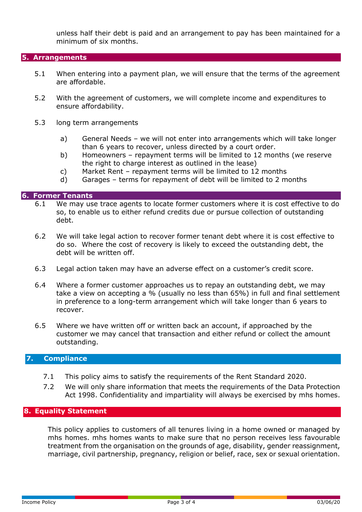unless half their debt is paid and an arrangement to pay has been maintained for a minimum of six months.

#### **5. Arrangements**

- 5.1 When entering into a payment plan, we will ensure that the terms of the agreement are affordable.
- 5.2 With the agreement of customers, we will complete income and expenditures to ensure affordability.
- 5.3 long term arrangements
	- a) General Needs we will not enter into arrangements which will take longer than 6 years to recover, unless directed by a court order.
	- b) Homeowners repayment terms will be limited to 12 months (we reserve the right to charge interest as outlined in the lease)
	- c) Market Rent repayment terms will be limited to 12 months
	- d) Garages terms for repayment of debt will be limited to 2 months

#### **6. Former Tenants**

- 6.1 We may use trace agents to locate former customers where it is cost effective to do so, to enable us to either refund credits due or pursue collection of outstanding debt.
- 6.2 We will take legal action to recover former tenant debt where it is cost effective to do so. Where the cost of recovery is likely to exceed the outstanding debt, the debt will be written off.
- 6.3 Legal action taken may have an adverse effect on a customer's credit score.
- 6.4 Where a former customer approaches us to repay an outstanding debt, we may take a view on accepting a % (usually no less than 65%) in full and final settlement in preference to a long-term arrangement which will take longer than 6 years to recover.
- 6.5 Where we have written off or written back an account, if approached by the customer we may cancel that transaction and either refund or collect the amount outstanding.

#### **7. Compliance**

- 7.1 This policy aims to satisfy the requirements of the Rent Standard 2020.
- 7.2 We will only share information that meets the requirements of the Data Protection Act 1998. Confidentiality and impartiality will always be exercised by mhs homes.

## **8. Equality Statement**

This policy applies to customers of all tenures living in a home owned or managed by mhs homes. mhs homes wants to make sure that no person receives less favourable treatment from the organisation on the grounds of age, disability, gender reassignment, marriage, civil partnership, pregnancy, religion or belief, race, sex or sexual orientation.